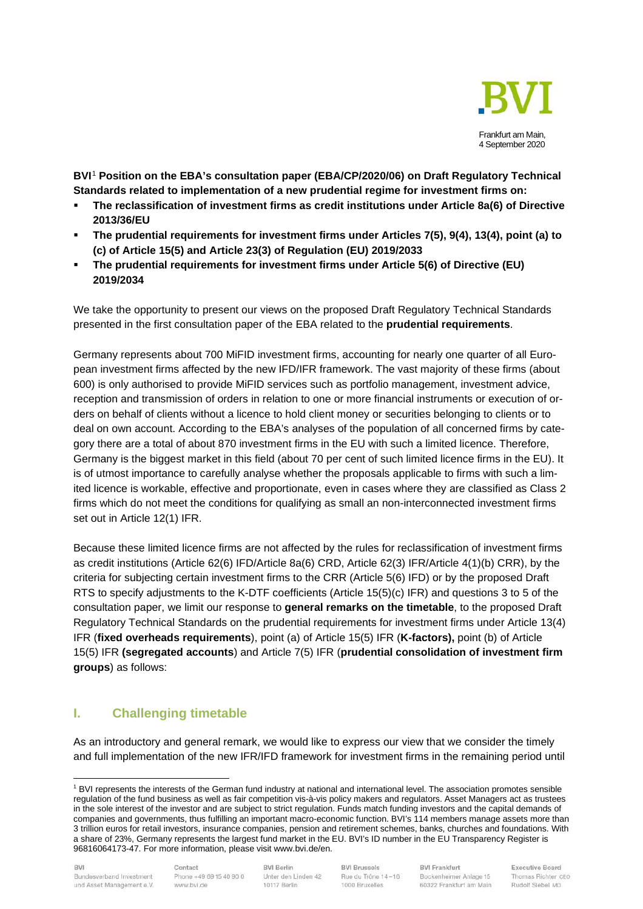

**BVI**[1](#page-0-0) **Position on the EBA's consultation paper (EBA/CP/2020/06) on Draft Regulatory Technical Standards related to implementation of a new prudential regime for investment firms on:** 

- **The reclassification of investment firms as credit institutions under Article 8a(6) of Directive 2013/36/EU**
- **The prudential requirements for investment firms under Articles 7(5), 9(4), 13(4), point (a) to (c) of Article 15(5) and Article 23(3) of Regulation (EU) 2019/2033**
- **The prudential requirements for investment firms under Article 5(6) of Directive (EU) 2019/2034**

We take the opportunity to present our views on the proposed Draft Regulatory Technical Standards presented in the first consultation paper of the EBA related to the **prudential requirements**.

Germany represents about 700 MiFID investment firms, accounting for nearly one quarter of all European investment firms affected by the new IFD/IFR framework. The vast majority of these firms (about 600) is only authorised to provide MiFID services such as portfolio management, investment advice, reception and transmission of orders in relation to one or more financial instruments or execution of orders on behalf of clients without a licence to hold client money or securities belonging to clients or to deal on own account. According to the EBA's analyses of the population of all concerned firms by category there are a total of about 870 investment firms in the EU with such a limited licence. Therefore, Germany is the biggest market in this field (about 70 per cent of such limited licence firms in the EU). It is of utmost importance to carefully analyse whether the proposals applicable to firms with such a limited licence is workable, effective and proportionate, even in cases where they are classified as Class 2 firms which do not meet the conditions for qualifying as small an non-interconnected investment firms set out in Article 12(1) IFR.

Because these limited licence firms are not affected by the rules for reclassification of investment firms as credit institutions (Article 62(6) IFD/Article 8a(6) CRD, Article 62(3) IFR/Article 4(1)(b) CRR), by the criteria for subjecting certain investment firms to the CRR (Article 5(6) IFD) or by the proposed Draft RTS to specify adjustments to the K-DTF coefficients (Article 15(5)(c) IFR) and questions 3 to 5 of the consultation paper, we limit our response to **general remarks on the timetable**, to the proposed Draft Regulatory Technical Standards on the prudential requirements for investment firms under Article 13(4) IFR (**fixed overheads requirements**), point (a) of Article 15(5) IFR (**K-factors),** point (b) of Article 15(5) IFR **(segregated accounts**) and Article 7(5) IFR (**prudential consolidation of investment firm groups**) as follows:

# **I. Challenging timetable**

As an introductory and general remark, we would like to express our view that we consider the timely and full implementation of the new IFR/IFD framework for investment firms in the remaining period until

Contact Phone +49 69 15 40 90 0 www.bvi.de

**BVI Berlin** Unter den Linden 42 10117 Berlin

**BVI Brussels** Rue du Trône 14-16 1000 Bruxelles

**BVI Frankfurt** Bockenheimer Anlage 15 60322 Frankfurt am Main

<span id="page-0-0"></span><sup>1</sup> BVI represents the interests of the German fund industry at national and international level. The association promotes sensible regulation of the fund business as well as fair competition vis-à-vis policy makers and regulators. Asset Managers act as trustees in the sole interest of the investor and are subject to strict regulation. Funds match funding investors and the capital demands of companies and governments, thus fulfilling an important macro-economic function. BVI's 114 members manage assets more than 3 trillion euros for retail investors, insurance companies, pension and retirement schemes, banks, churches and foundations. With a share of 23%, Germany represents the largest fund market in the EU. BVI's ID number in the EU Transparency Register is 96816064173-47. For more information, please visit www.bvi.de/en.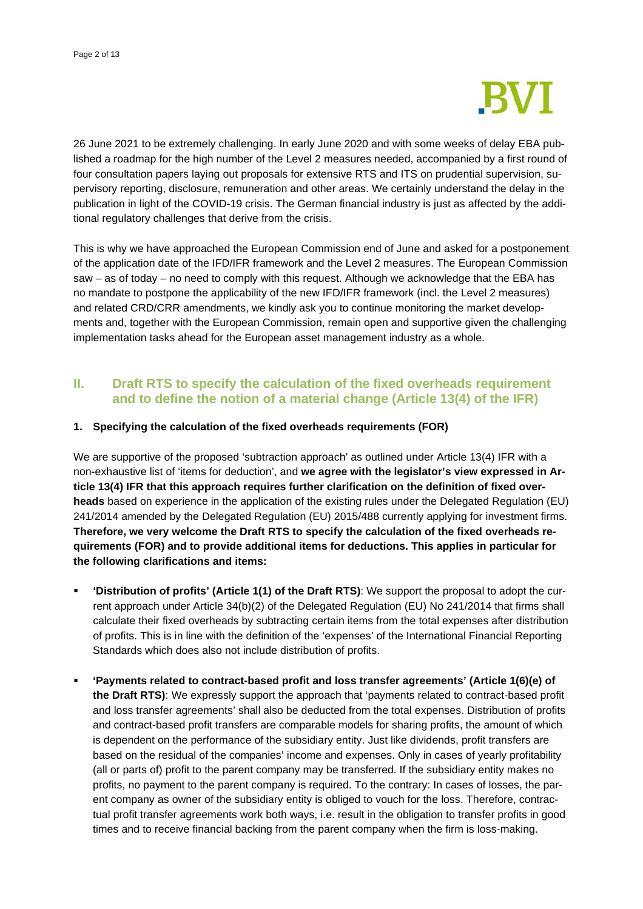

26 June 2021 to be extremely challenging. In early June 2020 and with some weeks of delay EBA published a roadmap for the high number of the Level 2 measures needed, accompanied by a first round of four consultation papers laying out proposals for extensive RTS and ITS on prudential supervision, supervisory reporting, disclosure, remuneration and other areas. We certainly understand the delay in the publication in light of the COVID-19 crisis. The German financial industry is just as affected by the additional regulatory challenges that derive from the crisis.

This is why we have approached the European Commission end of June and asked for a postponement of the application date of the IFD/IFR framework and the Level 2 measures. The European Commission saw – as of today – no need to comply with this request. Although we acknowledge that the EBA has no mandate to postpone the applicability of the new IFD/IFR framework (incl. the Level 2 measures) and related CRD/CRR amendments, we kindly ask you to continue monitoring the market developments and, together with the European Commission, remain open and supportive given the challenging implementation tasks ahead for the European asset management industry as a whole.

# **II. Draft RTS to specify the calculation of the fixed overheads requirement and to define the notion of a material change (Article 13(4) of the IFR)**

### **1. Specifying the calculation of the fixed overheads requirements (FOR)**

We are supportive of the proposed 'subtraction approach' as outlined under Article 13(4) IFR with a non-exhaustive list of 'items for deduction', and **we agree with the legislator's view expressed in Article 13(4) IFR that this approach requires further clarification on the definition of fixed overheads** based on experience in the application of the existing rules under the Delegated Regulation (EU) 241/2014 amended by the Delegated Regulation (EU) 2015/488 currently applying for investment firms. **Therefore, we very welcome the Draft RTS to specify the calculation of the fixed overheads requirements (FOR) and to provide additional items for deductions. This applies in particular for the following clarifications and items:**

- **'Distribution of profits' (Article 1(1) of the Draft RTS)**: We support the proposal to adopt the current approach under Article 34(b)(2) of the Delegated Regulation (EU) No 241/2014 that firms shall calculate their fixed overheads by subtracting certain items from the total expenses after distribution of profits. This is in line with the definition of the 'expenses' of the International Financial Reporting Standards which does also not include distribution of profits.
- **'Payments related to contract-based profit and loss transfer agreements' (Article 1(6)(e) of the Draft RTS)**: We expressly support the approach that 'payments related to contract-based profit and loss transfer agreements' shall also be deducted from the total expenses. Distribution of profits and contract-based profit transfers are comparable models for sharing profits, the amount of which is dependent on the performance of the subsidiary entity. Just like dividends, profit transfers are based on the residual of the companies' income and expenses. Only in cases of yearly profitability (all or parts of) profit to the parent company may be transferred. If the subsidiary entity makes no profits, no payment to the parent company is required. To the contrary: In cases of losses, the parent company as owner of the subsidiary entity is obliged to vouch for the loss. Therefore, contractual profit transfer agreements work both ways, i.e. result in the obligation to transfer profits in good times and to receive financial backing from the parent company when the firm is loss-making.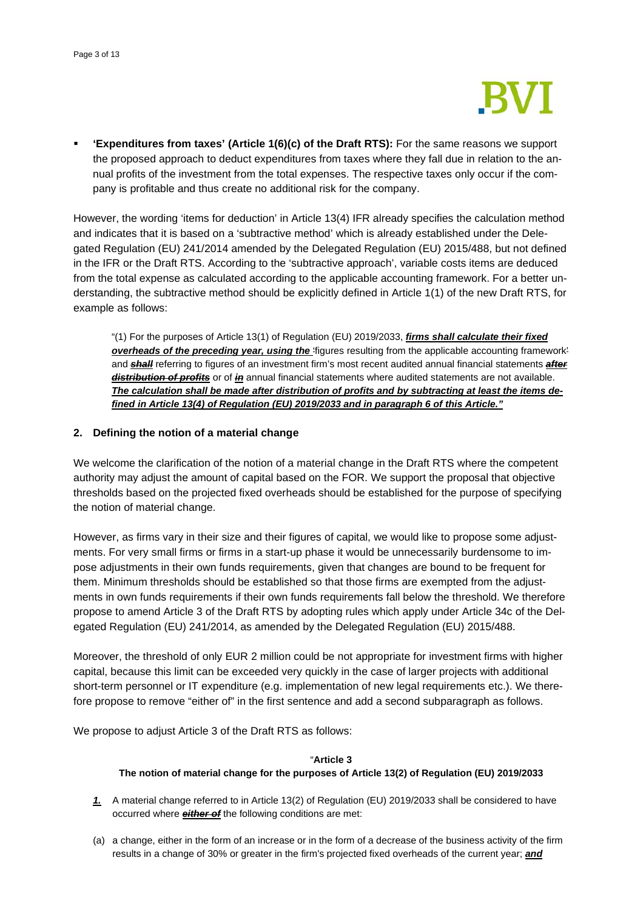

 **'Expenditures from taxes' (Article 1(6)(c) of the Draft RTS):** For the same reasons we support the proposed approach to deduct expenditures from taxes where they fall due in relation to the annual profits of the investment from the total expenses. The respective taxes only occur if the company is profitable and thus create no additional risk for the company.

However, the wording 'items for deduction' in Article 13(4) IFR already specifies the calculation method and indicates that it is based on a 'subtractive method' which is already established under the Delegated Regulation (EU) 241/2014 amended by the Delegated Regulation (EU) 2015/488, but not defined in the IFR or the Draft RTS. According to the 'subtractive approach', variable costs items are deduced from the total expense as calculated according to the applicable accounting framework. For a better understanding, the subtractive method should be explicitly defined in Article 1(1) of the new Draft RTS, for example as follows:

"(1) For the purposes of Article 13(1) of Regulation (EU) 2019/2033, *firms shall calculate their fixed overheads of the preceding year, using the* 'figures resulting from the applicable accounting framework' and *shall* referring to figures of an investment firm's most recent audited annual financial statements *after distribution of profits* or of *in* annual financial statements where audited statements are not available. *The calculation shall be made after distribution of profits and by subtracting at least the items defined in Article 13(4) of Regulation (EU) 2019/2033 and in paragraph 6 of this Article."*

### **2. Defining the notion of a material change**

We welcome the clarification of the notion of a material change in the Draft RTS where the competent authority may adjust the amount of capital based on the FOR. We support the proposal that objective thresholds based on the projected fixed overheads should be established for the purpose of specifying the notion of material change.

However, as firms vary in their size and their figures of capital, we would like to propose some adjustments. For very small firms or firms in a start-up phase it would be unnecessarily burdensome to impose adjustments in their own funds requirements, given that changes are bound to be frequent for them. Minimum thresholds should be established so that those firms are exempted from the adjustments in own funds requirements if their own funds requirements fall below the threshold. We therefore propose to amend Article 3 of the Draft RTS by adopting rules which apply under Article 34c of the Delegated Regulation (EU) 241/2014, as amended by the Delegated Regulation (EU) 2015/488.

Moreover, the threshold of only EUR 2 million could be not appropriate for investment firms with higher capital, because this limit can be exceeded very quickly in the case of larger projects with additional short-term personnel or IT expenditure (e.g. implementation of new legal requirements etc.). We therefore propose to remove "either of" in the first sentence and add a second subparagraph as follows.

We propose to adjust Article 3 of the Draft RTS as follows:

#### "**Article 3**

### **The notion of material change for the purposes of Article 13(2) of Regulation (EU) 2019/2033**

- *1.* A material change referred to in Article 13(2) of Regulation (EU) 2019/2033 shall be considered to have occurred where *either of* the following conditions are met:
- (a) a change, either in the form of an increase or in the form of a decrease of the business activity of the firm results in a change of 30% or greater in the firm's projected fixed overheads of the current year; *and*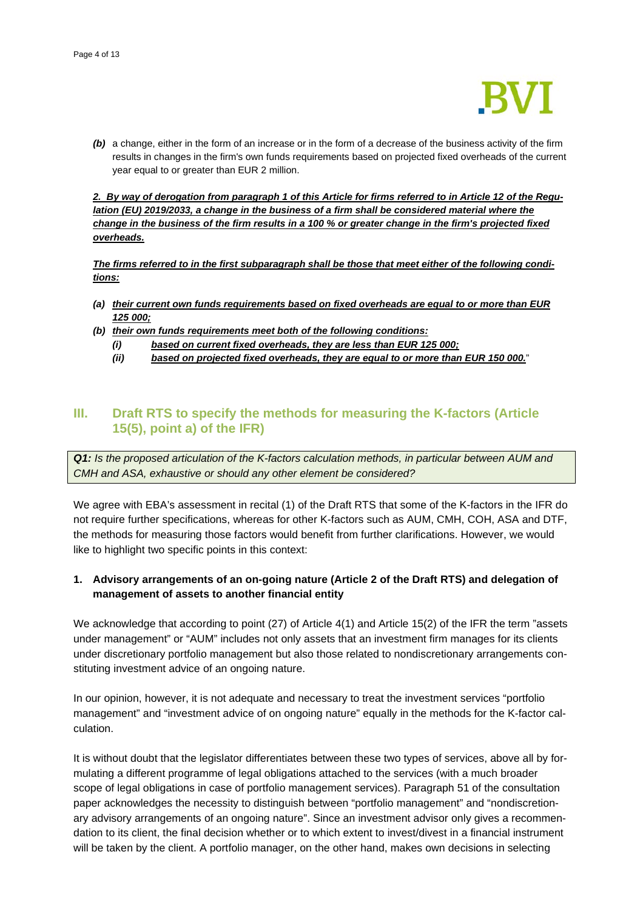

*(b)* a change, either in the form of an increase or in the form of a decrease of the business activity of the firm results in changes in the firm's own funds requirements based on projected fixed overheads of the current year equal to or greater than EUR 2 million.

*2. By way of derogation from paragraph 1 of this Article for firms referred to in Article 12 of the Regulation (EU) 2019/2033, a change in the business of a firm shall be considered material where the change in the business of the firm results in a 100 % or greater change in the firm's projected fixed overheads.*

*The firms referred to in the first subparagraph shall be those that meet either of the following conditions:* 

- *(a) their current own funds requirements based on fixed overheads are equal to or more than EUR 125 000;*
- *(b) their own funds requirements meet both of the following conditions:* 
	- *(i) based on current fixed overheads, they are less than EUR 125 000;*
	- *(ii) based on projected fixed overheads, they are equal to or more than EUR 150 000.*"

# **III. Draft RTS to specify the methods for measuring the K-factors (Article 15(5), point a) of the IFR)**

*Q1: Is the proposed articulation of the K-factors calculation methods, in particular between AUM and CMH and ASA, exhaustive or should any other element be considered?* 

We agree with EBA's assessment in recital (1) of the Draft RTS that some of the K-factors in the IFR do not require further specifications, whereas for other K-factors such as AUM, CMH, COH, ASA and DTF, the methods for measuring those factors would benefit from further clarifications. However, we would like to highlight two specific points in this context:

# **1. Advisory arrangements of an on-going nature (Article 2 of the Draft RTS) and delegation of management of assets to another financial entity**

We acknowledge that according to point (27) of Article 4(1) and Article 15(2) of the IFR the term "assets under management" or "AUM" includes not only assets that an investment firm manages for its clients under discretionary portfolio management but also those related to nondiscretionary arrangements constituting investment advice of an ongoing nature.

In our opinion, however, it is not adequate and necessary to treat the investment services "portfolio management" and "investment advice of on ongoing nature" equally in the methods for the K-factor calculation.

It is without doubt that the legislator differentiates between these two types of services, above all by formulating a different programme of legal obligations attached to the services (with a much broader scope of legal obligations in case of portfolio management services). Paragraph 51 of the consultation paper acknowledges the necessity to distinguish between "portfolio management" and "nondiscretionary advisory arrangements of an ongoing nature". Since an investment advisor only gives a recommendation to its client, the final decision whether or to which extent to invest/divest in a financial instrument will be taken by the client. A portfolio manager, on the other hand, makes own decisions in selecting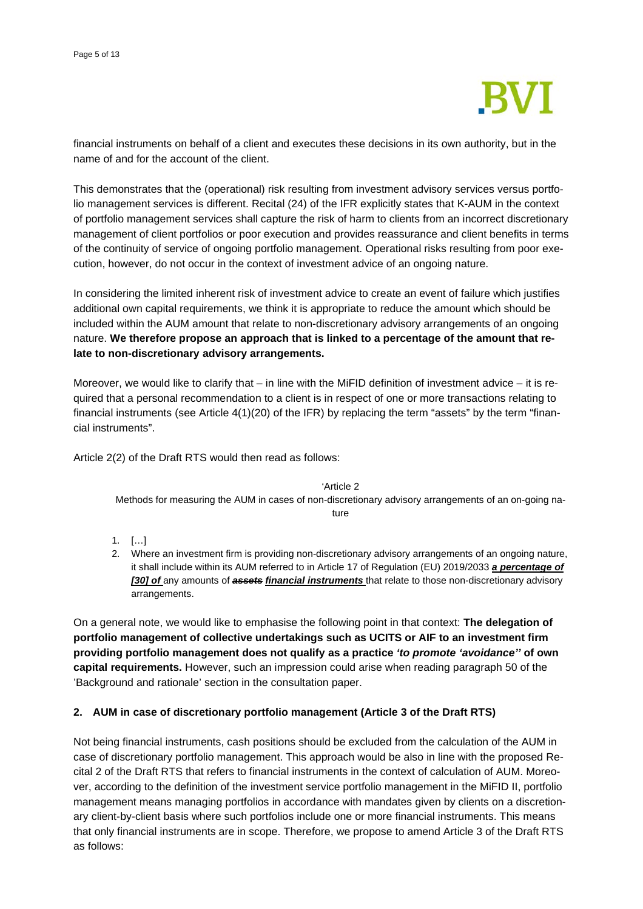

financial instruments on behalf of a client and executes these decisions in its own authority, but in the name of and for the account of the client.

This demonstrates that the (operational) risk resulting from investment advisory services versus portfolio management services is different. Recital (24) of the IFR explicitly states that K-AUM in the context of portfolio management services shall capture the risk of harm to clients from an incorrect discretionary management of client portfolios or poor execution and provides reassurance and client benefits in terms of the continuity of service of ongoing portfolio management. Operational risks resulting from poor execution, however, do not occur in the context of investment advice of an ongoing nature.

In considering the limited inherent risk of investment advice to create an event of failure which justifies additional own capital requirements, we think it is appropriate to reduce the amount which should be included within the AUM amount that relate to non-discretionary advisory arrangements of an ongoing nature. **We therefore propose an approach that is linked to a percentage of the amount that relate to non-discretionary advisory arrangements.**

Moreover, we would like to clarify that – in line with the MiFID definition of investment advice – it is required that a personal recommendation to a client is in respect of one or more transactions relating to financial instruments (see Article 4(1)(20) of the IFR) by replacing the term "assets" by the term "financial instruments".

Article 2(2) of the Draft RTS would then read as follows:

'Article 2

Methods for measuring the AUM in cases of non-discretionary advisory arrangements of an on-going nature

- 1. […]
- 2. Where an investment firm is providing non-discretionary advisory arrangements of an ongoing nature, it shall include within its AUM referred to in Article 17 of Regulation (EU) 2019/2033 *a percentage of [30] of* any amounts of *assets financial instruments* that relate to those non-discretionary advisory arrangements.

On a general note, we would like to emphasise the following point in that context: **The delegation of portfolio management of collective undertakings such as UCITS or AIF to an investment firm providing portfolio management does not qualify as a practice** *'to promote 'avoidance''* **of own capital requirements.** However, such an impression could arise when reading paragraph 50 of the 'Background and rationale' section in the consultation paper.

## **2. AUM in case of discretionary portfolio management (Article 3 of the Draft RTS)**

Not being financial instruments, cash positions should be excluded from the calculation of the AUM in case of discretionary portfolio management. This approach would be also in line with the proposed Recital 2 of the Draft RTS that refers to financial instruments in the context of calculation of AUM. Moreover, according to the definition of the investment service portfolio management in the MiFID II, portfolio management means managing portfolios in accordance with mandates given by clients on a discretionary client-by-client basis where such portfolios include one or more financial instruments. This means that only financial instruments are in scope. Therefore, we propose to amend Article 3 of the Draft RTS as follows: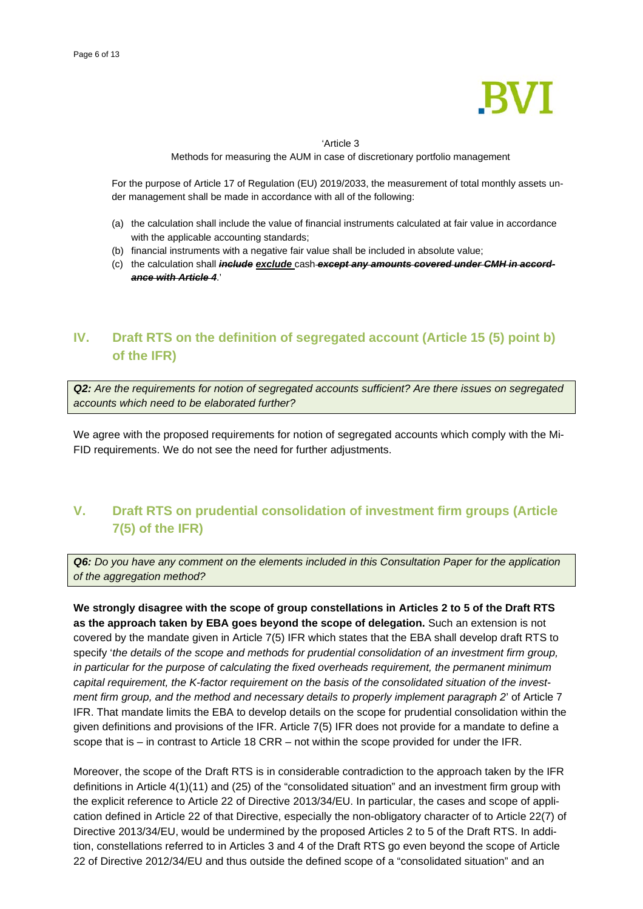

#### 'Article 3

Methods for measuring the AUM in case of discretionary portfolio management

For the purpose of Article 17 of Regulation (EU) 2019/2033, the measurement of total monthly assets under management shall be made in accordance with all of the following:

- (a) the calculation shall include the value of financial instruments calculated at fair value in accordance with the applicable accounting standards;
- (b) financial instruments with a negative fair value shall be included in absolute value;
- (c) the calculation shall *include exclude* cash *except any amounts covered under CMH in accordance with Article 4*.'

# **IV. Draft RTS on the definition of segregated account (Article 15 (5) point b) of the IFR)**

*Q2: Are the requirements for notion of segregated accounts sufficient? Are there issues on segregated accounts which need to be elaborated further?*

We agree with the proposed requirements for notion of segregated accounts which comply with the Mi-FID requirements. We do not see the need for further adjustments.

# **V. Draft RTS on prudential consolidation of investment firm groups (Article 7(5) of the IFR)**

*Q6: Do you have any comment on the elements included in this Consultation Paper for the application of the aggregation method?* 

**We strongly disagree with the scope of group constellations in Articles 2 to 5 of the Draft RTS as the approach taken by EBA goes beyond the scope of delegation.** Such an extension is not covered by the mandate given in Article 7(5) IFR which states that the EBA shall develop draft RTS to specify '*the details of the scope and methods for prudential consolidation of an investment firm group, in particular for the purpose of calculating the fixed overheads requirement, the permanent minimum capital requirement, the K-factor requirement on the basis of the consolidated situation of the investment firm group, and the method and necessary details to properly implement paragraph 2*' of Article 7 IFR. That mandate limits the EBA to develop details on the scope for prudential consolidation within the given definitions and provisions of the IFR. Article 7(5) IFR does not provide for a mandate to define a scope that is – in contrast to Article 18 CRR – not within the scope provided for under the IFR.

Moreover, the scope of the Draft RTS is in considerable contradiction to the approach taken by the IFR definitions in Article 4(1)(11) and (25) of the "consolidated situation" and an investment firm group with the explicit reference to Article 22 of Directive 2013/34/EU. In particular, the cases and scope of application defined in Article 22 of that Directive, especially the non-obligatory character of to Article 22(7) of Directive 2013/34/EU, would be undermined by the proposed Articles 2 to 5 of the Draft RTS. In addition, constellations referred to in Articles 3 and 4 of the Draft RTS go even beyond the scope of Article 22 of Directive 2012/34/EU and thus outside the defined scope of a "consolidated situation" and an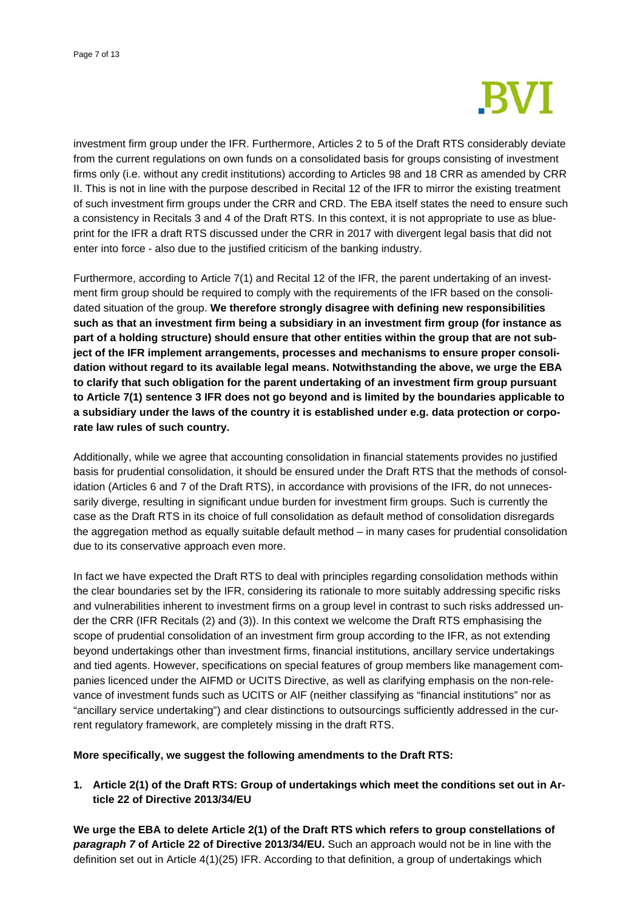

investment firm group under the IFR. Furthermore, Articles 2 to 5 of the Draft RTS considerably deviate from the current regulations on own funds on a consolidated basis for groups consisting of investment firms only (i.e. without any credit institutions) according to Articles 98 and 18 CRR as amended by CRR II. This is not in line with the purpose described in Recital 12 of the IFR to mirror the existing treatment of such investment firm groups under the CRR and CRD. The EBA itself states the need to ensure such a consistency in Recitals 3 and 4 of the Draft RTS. In this context, it is not appropriate to use as blueprint for the IFR a draft RTS discussed under the CRR in 2017 with divergent legal basis that did not enter into force - also due to the justified criticism of the banking industry.

Furthermore, according to Article 7(1) and Recital 12 of the IFR, the parent undertaking of an investment firm group should be required to comply with the requirements of the IFR based on the consolidated situation of the group. **We therefore strongly disagree with defining new responsibilities such as that an investment firm being a subsidiary in an investment firm group (for instance as part of a holding structure) should ensure that other entities within the group that are not subject of the IFR implement arrangements, processes and mechanisms to ensure proper consolidation without regard to its available legal means. Notwithstanding the above, we urge the EBA to clarify that such obligation for the parent undertaking of an investment firm group pursuant to Article 7(1) sentence 3 IFR does not go beyond and is limited by the boundaries applicable to a subsidiary under the laws of the country it is established under e.g. data protection or corporate law rules of such country.**

Additionally, while we agree that accounting consolidation in financial statements provides no justified basis for prudential consolidation, it should be ensured under the Draft RTS that the methods of consolidation (Articles 6 and 7 of the Draft RTS), in accordance with provisions of the IFR, do not unnecessarily diverge, resulting in significant undue burden for investment firm groups. Such is currently the case as the Draft RTS in its choice of full consolidation as default method of consolidation disregards the aggregation method as equally suitable default method – in many cases for prudential consolidation due to its conservative approach even more.

In fact we have expected the Draft RTS to deal with principles regarding consolidation methods within the clear boundaries set by the IFR, considering its rationale to more suitably addressing specific risks and vulnerabilities inherent to investment firms on a group level in contrast to such risks addressed under the CRR (IFR Recitals (2) and (3)). In this context we welcome the Draft RTS emphasising the scope of prudential consolidation of an investment firm group according to the IFR, as not extending beyond undertakings other than investment firms, financial institutions, ancillary service undertakings and tied agents. However, specifications on special features of group members like management companies licenced under the AIFMD or UCITS Directive, as well as clarifying emphasis on the non-relevance of investment funds such as UCITS or AIF (neither classifying as "financial institutions" nor as "ancillary service undertaking") and clear distinctions to outsourcings sufficiently addressed in the current regulatory framework, are completely missing in the draft RTS.

### **More specifically, we suggest the following amendments to the Draft RTS:**

**1. Article 2(1) of the Draft RTS: Group of undertakings which meet the conditions set out in Article 22 of Directive 2013/34/EU** 

**We urge the EBA to delete Article 2(1) of the Draft RTS which refers to group constellations of**  *paragraph 7* **of Article 22 of Directive 2013/34/EU.** Such an approach would not be in line with the definition set out in Article 4(1)(25) IFR. According to that definition, a group of undertakings which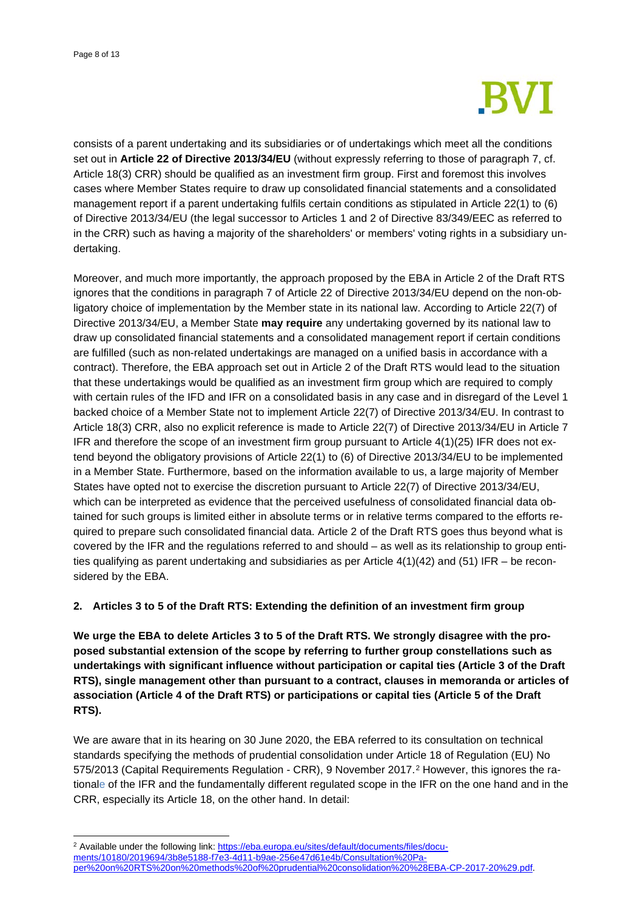

consists of a parent undertaking and its subsidiaries or of undertakings which meet all the conditions set out in **Article 22 of Directive 2013/34/EU** (without expressly referring to those of paragraph 7, cf. Article 18(3) CRR) should be qualified as an investment firm group. First and foremost this involves cases where Member States require to draw up consolidated financial statements and a consolidated management report if a parent undertaking fulfils certain conditions as stipulated in Article 22(1) to (6) of Directive 2013/34/EU (the legal successor to Articles 1 and 2 of Directive 83/349/EEC as referred to in the CRR) such as having a majority of the shareholders' or members' voting rights in a subsidiary undertaking.

Moreover, and much more importantly, the approach proposed by the EBA in Article 2 of the Draft RTS ignores that the conditions in paragraph 7 of Article 22 of Directive 2013/34/EU depend on the non-obligatory choice of implementation by the Member state in its national law. According to Article 22(7) of Directive 2013/34/EU, a Member State **may require** any undertaking governed by its national law to draw up consolidated financial statements and a consolidated management report if certain conditions are fulfilled (such as non-related undertakings are managed on a unified basis in accordance with a contract). Therefore, the EBA approach set out in Article 2 of the Draft RTS would lead to the situation that these undertakings would be qualified as an investment firm group which are required to comply with certain rules of the IFD and IFR on a consolidated basis in any case and in disregard of the Level 1 backed choice of a Member State not to implement Article 22(7) of Directive 2013/34/EU. In contrast to Article 18(3) CRR, also no explicit reference is made to Article 22(7) of Directive 2013/34/EU in Article 7 IFR and therefore the scope of an investment firm group pursuant to Article 4(1)(25) IFR does not extend beyond the obligatory provisions of Article 22(1) to (6) of Directive 2013/34/EU to be implemented in a Member State. Furthermore, based on the information available to us, a large majority of Member States have opted not to exercise the discretion pursuant to Article 22(7) of Directive 2013/34/EU, which can be interpreted as evidence that the perceived usefulness of consolidated financial data obtained for such groups is limited either in absolute terms or in relative terms compared to the efforts required to prepare such consolidated financial data. Article 2 of the Draft RTS goes thus beyond what is covered by the IFR and the regulations referred to and should – as well as its relationship to group entities qualifying as parent undertaking and subsidiaries as per Article 4(1)(42) and (51) IFR – be reconsidered by the EBA.

## **2. Articles 3 to 5 of the Draft RTS: Extending the definition of an investment firm group**

**We urge the EBA to delete Articles 3 to 5 of the Draft RTS. We strongly disagree with the proposed substantial extension of the scope by referring to further group constellations such as undertakings with significant influence without participation or capital ties (Article 3 of the Draft RTS), single management other than pursuant to a contract, clauses in memoranda or articles of association (Article 4 of the Draft RTS) or participations or capital ties (Article 5 of the Draft RTS).** 

We are aware that in its hearing on 30 June 2020, the EBA referred to its consultation on technical standards specifying the methods of prudential consolidation under Article 18 of Regulation (EU) No 575/2013 (Capital Requirements Regulation - CRR), 9 November 2017.[2](#page-7-0) However, this ignores the rationale of the IFR and the fundamentally different regulated scope in the IFR on the one hand and in the CRR, especially its Article 18, on the other hand. In detail:

<span id="page-7-0"></span><sup>&</sup>lt;sup>2</sup> Available under the following link: [https://eba.europa.eu/sites/default/documents/files/docu](https://eba.europa.eu/sites/default/documents/files/documents/10180/2019694/3b8e5188-f7e3-4d11-b9ae-256e47d61e4b/Consultation%20Paper%20on%20RTS%20on%20methods%20of%20prudential%20consolidation%20%28EBA-CP-2017-20%29.pdf)[ments/10180/2019694/3b8e5188-f7e3-4d11-b9ae-256e47d61e4b/Consultation%20Pa](https://eba.europa.eu/sites/default/documents/files/documents/10180/2019694/3b8e5188-f7e3-4d11-b9ae-256e47d61e4b/Consultation%20Paper%20on%20RTS%20on%20methods%20of%20prudential%20consolidation%20%28EBA-CP-2017-20%29.pdf)[per%20on%20RTS%20on%20methods%20of%20prudential%20consolidation%20%28EBA-CP-2017-20%29.pdf.](https://eba.europa.eu/sites/default/documents/files/documents/10180/2019694/3b8e5188-f7e3-4d11-b9ae-256e47d61e4b/Consultation%20Paper%20on%20RTS%20on%20methods%20of%20prudential%20consolidation%20%28EBA-CP-2017-20%29.pdf)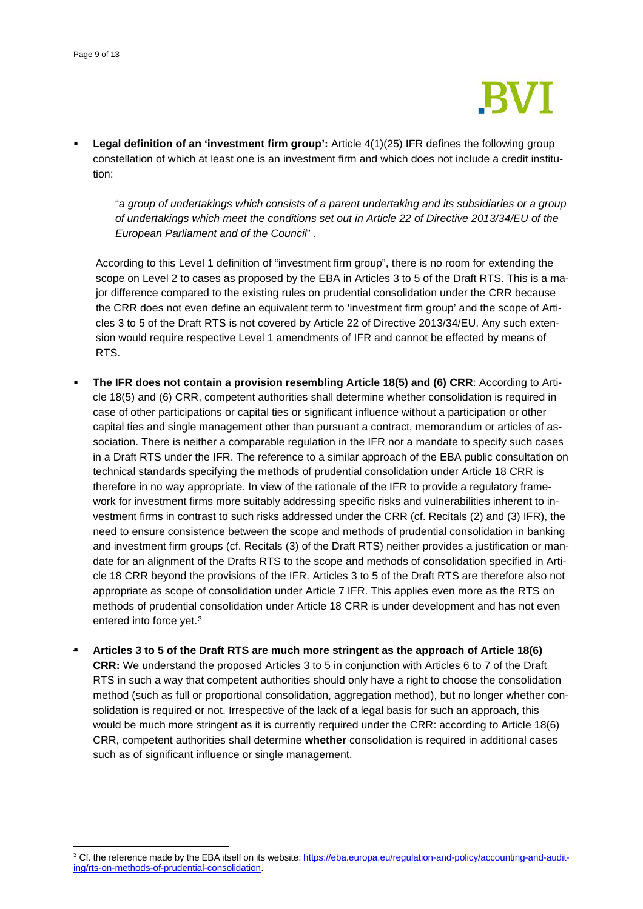

 **Legal definition of an 'investment firm group':** Article 4(1)(25) IFR defines the following group constellation of which at least one is an investment firm and which does not include a credit institution:

"*a group of undertakings which consists of a parent undertaking and its subsidiaries or a group of undertakings which meet the conditions set out in Article 22 of Directive 2013/34/EU of the European Parliament and of the Council*" .

According to this Level 1 definition of "investment firm group", there is no room for extending the scope on Level 2 to cases as proposed by the EBA in Articles 3 to 5 of the Draft RTS. This is a major difference compared to the existing rules on prudential consolidation under the CRR because the CRR does not even define an equivalent term to 'investment firm group' and the scope of Articles 3 to 5 of the Draft RTS is not covered by Article 22 of Directive 2013/34/EU. Any such extension would require respective Level 1 amendments of IFR and cannot be effected by means of RTS.

- **The IFR does not contain a provision resembling Article 18(5) and (6) CRR**: According to Article 18(5) and (6) CRR, competent authorities shall determine whether consolidation is required in case of other participations or capital ties or significant influence without a participation or other capital ties and single management other than pursuant a contract, memorandum or articles of association. There is neither a comparable regulation in the IFR nor a mandate to specify such cases in a Draft RTS under the IFR. The reference to a similar approach of the EBA public consultation on technical standards specifying the methods of prudential consolidation under Article 18 CRR is therefore in no way appropriate. In view of the rationale of the IFR to provide a regulatory framework for investment firms more suitably addressing specific risks and vulnerabilities inherent to investment firms in contrast to such risks addressed under the CRR (cf. Recitals (2) and (3) IFR), the need to ensure consistence between the scope and methods of prudential consolidation in banking and investment firm groups (cf. Recitals (3) of the Draft RTS) neither provides a justification or mandate for an alignment of the Drafts RTS to the scope and methods of consolidation specified in Article 18 CRR beyond the provisions of the IFR. Articles 3 to 5 of the Draft RTS are therefore also not appropriate as scope of consolidation under Article 7 IFR. This applies even more as the RTS on methods of prudential consolidation under Article 18 CRR is under development and has not even entered into force yet.[3](#page-8-0)
- **Articles 3 to 5 of the Draft RTS are much more stringent as the approach of Article 18(6) CRR:** We understand the proposed Articles 3 to 5 in conjunction with Articles 6 to 7 of the Draft RTS in such a way that competent authorities should only have a right to choose the consolidation method (such as full or proportional consolidation, aggregation method), but no longer whether consolidation is required or not. Irrespective of the lack of a legal basis for such an approach, this would be much more stringent as it is currently required under the CRR: according to Article 18(6) CRR, competent authorities shall determine **whether** consolidation is required in additional cases such as of significant influence or single management.

<span id="page-8-0"></span><sup>&</sup>lt;sup>3</sup> Cf. the reference made by the EBA itself on its website: [https://eba.europa.eu/regulation-and-policy/accounting-and-audit](https://eba.europa.eu/regulation-and-policy/accounting-and-auditing/rts-on-methods-of-prudential-consolidation)[ing/rts-on-methods-of-prudential-consolidation.](https://eba.europa.eu/regulation-and-policy/accounting-and-auditing/rts-on-methods-of-prudential-consolidation)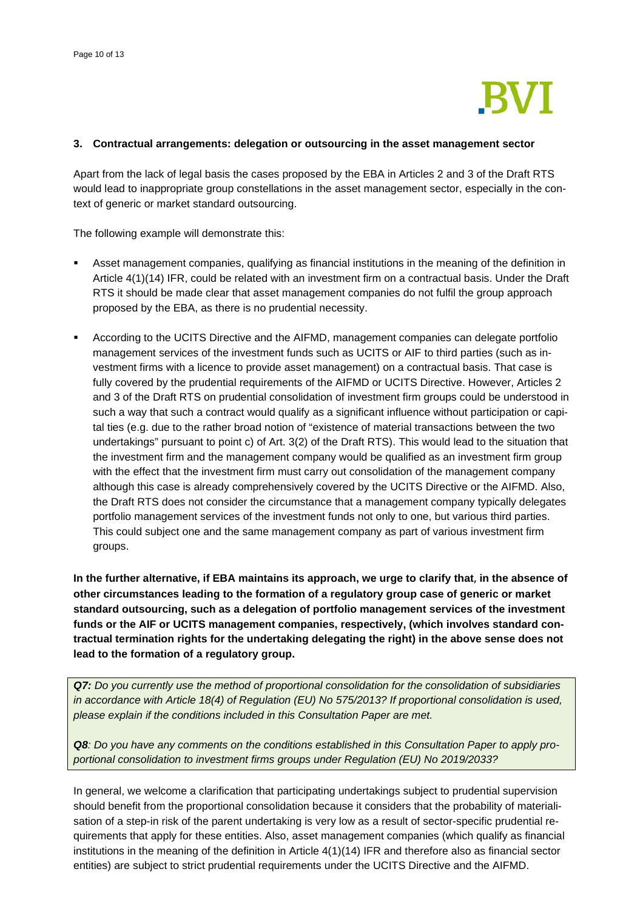

### **3. Contractual arrangements: delegation or outsourcing in the asset management sector**

Apart from the lack of legal basis the cases proposed by the EBA in Articles 2 and 3 of the Draft RTS would lead to inappropriate group constellations in the asset management sector, especially in the context of generic or market standard outsourcing.

The following example will demonstrate this:

- Asset management companies, qualifying as financial institutions in the meaning of the definition in Article 4(1)(14) IFR, could be related with an investment firm on a contractual basis. Under the Draft RTS it should be made clear that asset management companies do not fulfil the group approach proposed by the EBA, as there is no prudential necessity.
- According to the UCITS Directive and the AIFMD, management companies can delegate portfolio management services of the investment funds such as UCITS or AIF to third parties (such as investment firms with a licence to provide asset management) on a contractual basis. That case is fully covered by the prudential requirements of the AIFMD or UCITS Directive. However, Articles 2 and 3 of the Draft RTS on prudential consolidation of investment firm groups could be understood in such a way that such a contract would qualify as a significant influence without participation or capital ties (e.g. due to the rather broad notion of "existence of material transactions between the two undertakings" pursuant to point c) of Art. 3(2) of the Draft RTS). This would lead to the situation that the investment firm and the management company would be qualified as an investment firm group with the effect that the investment firm must carry out consolidation of the management company although this case is already comprehensively covered by the UCITS Directive or the AIFMD. Also, the Draft RTS does not consider the circumstance that a management company typically delegates portfolio management services of the investment funds not only to one, but various third parties. This could subject one and the same management company as part of various investment firm groups.

**In the further alternative, if EBA maintains its approach, we urge to clarify that**, **in the absence of other circumstances leading to the formation of a regulatory group case of generic or market standard outsourcing, such as a delegation of portfolio management services of the investment funds or the AIF or UCITS management companies, respectively, (which involves standard contractual termination rights for the undertaking delegating the right) in the above sense does not lead to the formation of a regulatory group.** 

*Q7: Do you currently use the method of proportional consolidation for the consolidation of subsidiaries in accordance with Article 18(4) of Regulation (EU) No 575/2013? If proportional consolidation is used, please explain if the conditions included in this Consultation Paper are met.*

*Q8: Do you have any comments on the conditions established in this Consultation Paper to apply proportional consolidation to investment firms groups under Regulation (EU) No 2019/2033?*

In general, we welcome a clarification that participating undertakings subject to prudential supervision should benefit from the proportional consolidation because it considers that the probability of materialisation of a step-in risk of the parent undertaking is very low as a result of sector-specific prudential requirements that apply for these entities. Also, asset management companies (which qualify as financial institutions in the meaning of the definition in Article 4(1)(14) IFR and therefore also as financial sector entities) are subject to strict prudential requirements under the UCITS Directive and the AIFMD.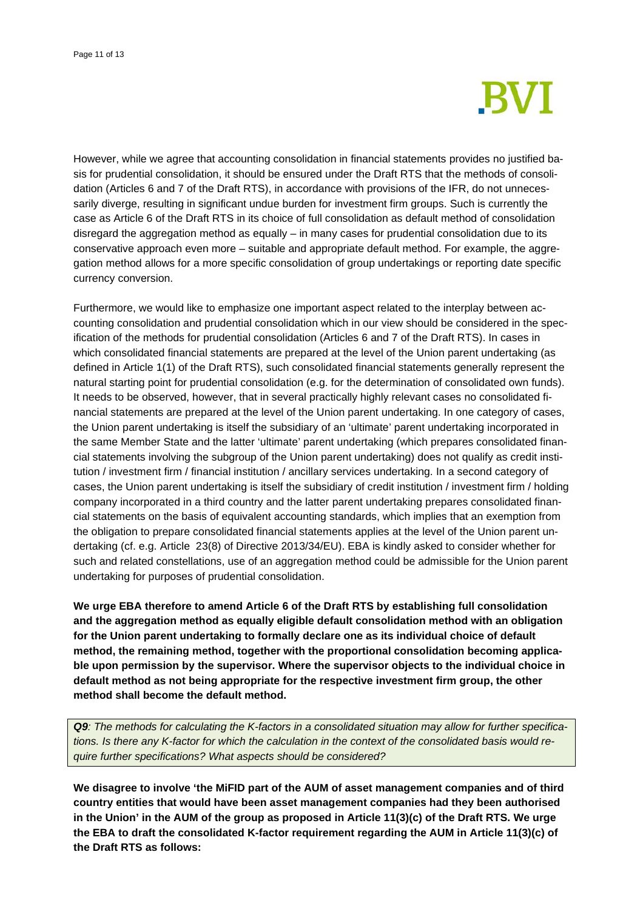

However, while we agree that accounting consolidation in financial statements provides no justified basis for prudential consolidation, it should be ensured under the Draft RTS that the methods of consolidation (Articles 6 and 7 of the Draft RTS), in accordance with provisions of the IFR, do not unnecessarily diverge, resulting in significant undue burden for investment firm groups. Such is currently the case as Article 6 of the Draft RTS in its choice of full consolidation as default method of consolidation disregard the aggregation method as equally – in many cases for prudential consolidation due to its conservative approach even more – suitable and appropriate default method. For example, the aggregation method allows for a more specific consolidation of group undertakings or reporting date specific currency conversion.

Furthermore, we would like to emphasize one important aspect related to the interplay between accounting consolidation and prudential consolidation which in our view should be considered in the specification of the methods for prudential consolidation (Articles 6 and 7 of the Draft RTS). In cases in which consolidated financial statements are prepared at the level of the Union parent undertaking (as defined in Article 1(1) of the Draft RTS), such consolidated financial statements generally represent the natural starting point for prudential consolidation (e.g. for the determination of consolidated own funds). It needs to be observed, however, that in several practically highly relevant cases no consolidated financial statements are prepared at the level of the Union parent undertaking. In one category of cases, the Union parent undertaking is itself the subsidiary of an 'ultimate' parent undertaking incorporated in the same Member State and the latter 'ultimate' parent undertaking (which prepares consolidated financial statements involving the subgroup of the Union parent undertaking) does not qualify as credit institution / investment firm / financial institution / ancillary services undertaking. In a second category of cases, the Union parent undertaking is itself the subsidiary of credit institution / investment firm / holding company incorporated in a third country and the latter parent undertaking prepares consolidated financial statements on the basis of equivalent accounting standards, which implies that an exemption from the obligation to prepare consolidated financial statements applies at the level of the Union parent undertaking (cf. e.g. Article 23(8) of Directive 2013/34/EU). EBA is kindly asked to consider whether for such and related constellations, use of an aggregation method could be admissible for the Union parent undertaking for purposes of prudential consolidation.

**We urge EBA therefore to amend Article 6 of the Draft RTS by establishing full consolidation and the aggregation method as equally eligible default consolidation method with an obligation for the Union parent undertaking to formally declare one as its individual choice of default method, the remaining method, together with the proportional consolidation becoming applicable upon permission by the supervisor. Where the supervisor objects to the individual choice in default method as not being appropriate for the respective investment firm group, the other method shall become the default method.**

*Q9: The methods for calculating the K-factors in a consolidated situation may allow for further specifications. Is there any K-factor for which the calculation in the context of the consolidated basis would require further specifications? What aspects should be considered?*

**We disagree to involve 'the MiFID part of the AUM of asset management companies and of third country entities that would have been asset management companies had they been authorised in the Union' in the AUM of the group as proposed in Article 11(3)(c) of the Draft RTS. We urge the EBA to draft the consolidated K-factor requirement regarding the AUM in Article 11(3)(c) of the Draft RTS as follows:**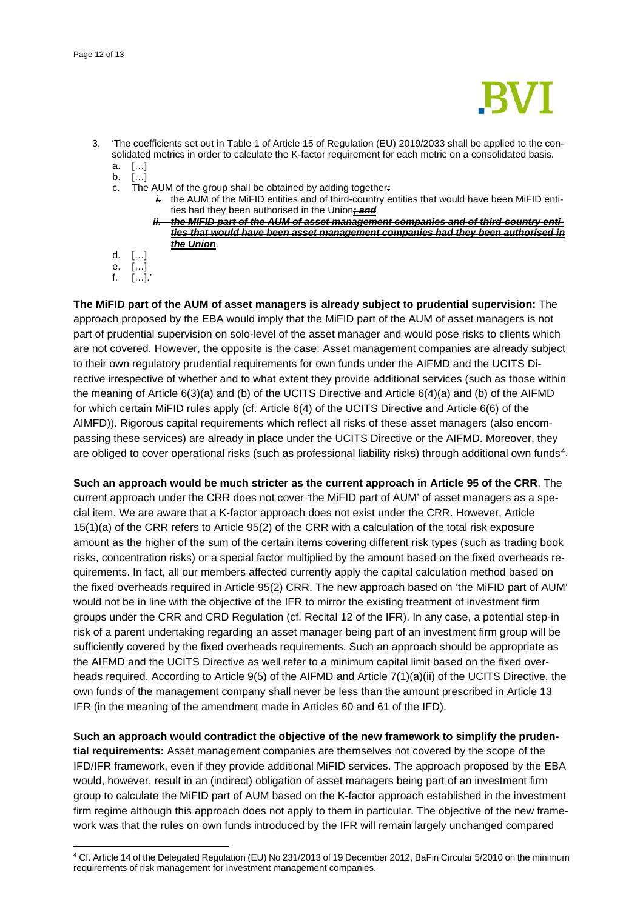

- 3. 'The coefficients set out in Table 1 of Article 15 of Regulation (EU) 2019/2033 shall be applied to the consolidated metrics in order to calculate the K-factor requirement for each metric on a consolidated basis. a. […]
	- b. […]
	- c. The AUM of the group shall be obtained by adding together*:*
		- *i.* the AUM of the MiFID entities and of third-country entities that would have been MiFID entities had they been authorised in the Union*; and*
			- *ii. the MIFID part of the AUM of asset management companies and of third-country entities that would have been asset management companies had they been authorised in the Union*.
	- d. […]
	- $[...]$  $[...]$ .

**The MiFID part of the AUM of asset managers is already subject to prudential supervision:** The approach proposed by the EBA would imply that the MiFID part of the AUM of asset managers is not part of prudential supervision on solo-level of the asset manager and would pose risks to clients which are not covered. However, the opposite is the case: Asset management companies are already subject to their own regulatory prudential requirements for own funds under the AIFMD and the UCITS Directive irrespective of whether and to what extent they provide additional services (such as those within the meaning of Article 6(3)(a) and (b) of the UCITS Directive and Article 6(4)(a) and (b) of the AIFMD for which certain MiFID rules apply (cf. Article 6(4) of the UCITS Directive and Article 6(6) of the AIMFD)). Rigorous capital requirements which reflect all risks of these asset managers (also encompassing these services) are already in place under the UCITS Directive or the AIFMD. Moreover, they are obliged to cover operational risks (such as professional liability risks) through additional own funds<sup>4</sup>.

**Such an approach would be much stricter as the current approach in Article 95 of the CRR**. The current approach under the CRR does not cover 'the MiFID part of AUM' of asset managers as a special item. We are aware that a K-factor approach does not exist under the CRR. However, Article 15(1)(a) of the CRR refers to Article 95(2) of the CRR with a calculation of the total risk exposure amount as the higher of the sum of the certain items covering different risk types (such as trading book risks, concentration risks) or a special factor multiplied by the amount based on the fixed overheads requirements. In fact, all our members affected currently apply the capital calculation method based on the fixed overheads required in Article 95(2) CRR. The new approach based on 'the MiFID part of AUM' would not be in line with the objective of the IFR to mirror the existing treatment of investment firm groups under the CRR and CRD Regulation (cf. Recital 12 of the IFR). In any case, a potential step-in risk of a parent undertaking regarding an asset manager being part of an investment firm group will be sufficiently covered by the fixed overheads requirements. Such an approach should be appropriate as the AIFMD and the UCITS Directive as well refer to a minimum capital limit based on the fixed overheads required. According to Article 9(5) of the AIFMD and Article 7(1)(a)(ii) of the UCITS Directive, the own funds of the management company shall never be less than the amount prescribed in Article 13 IFR (in the meaning of the amendment made in Articles 60 and 61 of the IFD).

**Such an approach would contradict the objective of the new framework to simplify the prudential requirements:** Asset management companies are themselves not covered by the scope of the IFD/IFR framework, even if they provide additional MiFID services. The approach proposed by the EBA would, however, result in an (indirect) obligation of asset managers being part of an investment firm group to calculate the MiFID part of AUM based on the K-factor approach established in the investment firm regime although this approach does not apply to them in particular. The objective of the new framework was that the rules on own funds introduced by the IFR will remain largely unchanged compared

<span id="page-11-0"></span><sup>4</sup> Cf. Article 14 of the Delegated Regulation (EU) No 231/2013 of 19 December 2012, BaFin Circular 5/2010 on the minimum requirements of risk management for investment management companies.